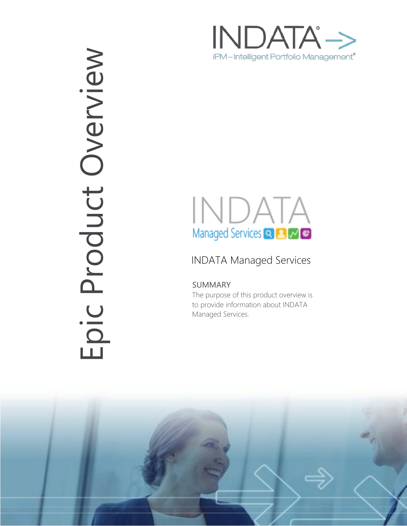

# INDATA Managed Services Q **A** M C

## INDATA Managed Services

### SUMMARY

The purpose of this product overview is to provide information about INDATA Managed Services.



Epic Product OverviewEpic Product Overview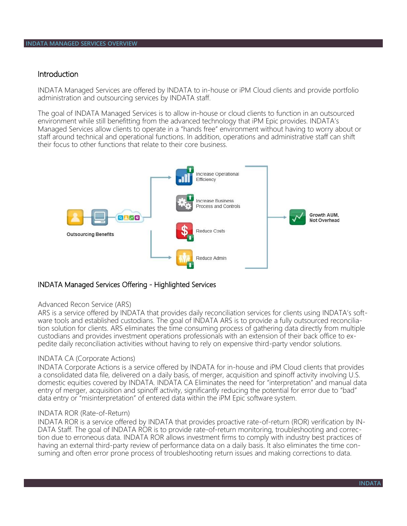#### Introduction

INDATA Managed Services are offered by INDATA to in-house or iPM Cloud clients and provide portfolio administration and outsourcing services by INDATA staff.

The goal of INDATA Managed Services is to allow in-house or cloud clients to function in an outsourced environment while still benefitting from the advanced technology that iPM Epic provides. INDATA's Managed Services allow clients to operate in a "hands free" environment without having to worry about or staff around technical and operational functions. In addition, operations and administrative staff can shift their focus to other functions that relate to their core business.



#### INDATA Managed Services Offering - Highlighted Services

#### Advanced Recon Service (ARS)

ARS is a service offered by INDATA that provides daily reconciliation services for clients using INDATA's software tools and established custodians. The goal of INDATA ARS is to provide a fully outsourced reconciliation solution for clients. ARS eliminates the time consuming process of gathering data directly from multiple custodians and provides investment operations professionals with an extension of their back office to expedite daily reconciliation activities without having to rely on expensive third-party vendor solutions.

#### INDATA CA (Corporate Actions)

INDATA Corporate Actions is a service offered by INDATA for in-house and iPM Cloud clients that provides a consolidated data file, delivered on a daily basis, of merger, acquisition and spinoff activity involving U.S. domestic equities covered by INDATA. INDATA CA Eliminates the need for "interpretation" and manual data entry of merger, acquisition and spinoff activity, significantly reducing the potential for error due to "bad" data entry or "misinterpretation" of entered data within the iPM Epic software system.

#### INDATA ROR (Rate-of-Return)

INDATA ROR is a service offered by INDATA that provides proactive rate-of-return (ROR) verification by IN-DATA Staff. The goal of INDATA ROR is to provide rate-of-return monitoring, troubleshooting and correction due to erroneous data. INDATA ROR allows investment firms to comply with industry best practices of having an external third-party review of performance data on a daily basis. It also eliminates the time consuming and often error prone process of troubleshooting return issues and making corrections to data.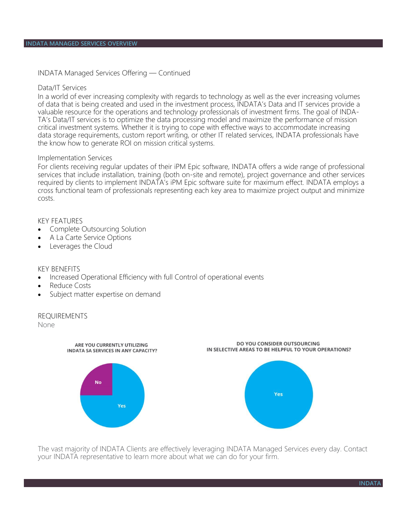INDATA Managed Services Offering — Continued

#### Data/IT Services

In a world of ever increasing complexity with regards to technology as well as the ever increasing volumes of data that is being created and used in the investment process, INDATA's Data and IT services provide a valuable resource for the operations and technology professionals of investment firms. The goal of INDA-TA's Data/IT services is to optimize the data processing model and maximize the performance of mission critical investment systems. Whether it is trying to cope with effective ways to accommodate increasing data storage requirements, custom report writing, or other IT related services, INDATA professionals have the know how to generate ROI on mission critical systems.

#### Implementation Services

For clients receiving regular updates of their iPM Epic software, INDATA offers a wide range of professional services that include installation, training (both on-site and remote), project governance and other services required by clients to implement INDATA's iPM Epic software suite for maximum effect. INDATA employs a cross functional team of professionals representing each key area to maximize project output and minimize costs.

#### KEY FEATURES

- Complete Outsourcing Solution
- A La Carte Service Options
- Leverages the Cloud

#### KEY BENEFITS

- Increased Operational Efficiency with full Control of operational events
- Reduce Costs
- Subject matter expertise on demand

#### REQUIREMENTS

None



The vast majority of INDATA Clients are effectively leveraging INDATA Managed Services every day. Contact your INDATA representative to learn more about what we can do for your firm.